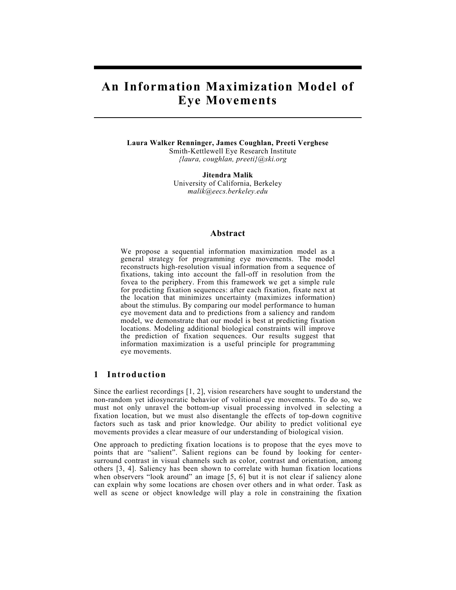# **An Information Maximization Model of Eye Movements**

**Laura Walker Renninger, James Coughlan, Preeti Verghese**  Smith-Kettlewell Eye Research Institute *{laura, coughlan, preeti}@ski.org*

> **Jitendra Malik**  University of California, Berkeley *malik@eecs.berkeley.edu*

## **Abstract**

We propose a sequential information maximization model as a general strategy for programming eye movements. The model reconstructs high-resolution visual information from a sequence of fixations, taking into account the fall-off in resolution from the fovea to the periphery. From this framework we get a simple rule for predicting fixation sequences: after each fixation, fixate next at the location that minimizes uncertainty (maximizes information) about the stimulus. By comparing our model performance to human eye movement data and to predictions from a saliency and random model, we demonstrate that our model is best at predicting fixation locations. Modeling additional biological constraints will improve the prediction of fixation sequences. Our results suggest that information maximization is a useful principle for programming eye movements.

#### **1 Introduction**

Since the earliest recordings [1, 2], vision researchers have sought to understand the non-random yet idiosyncratic behavior of volitional eye movements. To do so, we must not only unravel the bottom-up visual processing involved in selecting a fixation location, but we must also disentangle the effects of top-down cognitive factors such as task and prior knowledge. Our ability to predict volitional eye movements provides a clear measure of our understanding of biological vision.

One approach to predicting fixation locations is to propose that the eyes move to points that are "salient". Salient regions can be found by looking for centersurround contrast in visual channels such as color, contrast and orientation, among others [3, 4]. Saliency has been shown to correlate with human fixation locations when observers "look around" an image [5, 6] but it is not clear if saliency alone can explain why some locations are chosen over others and in what order. Task as well as scene or object knowledge will play a role in constraining the fixation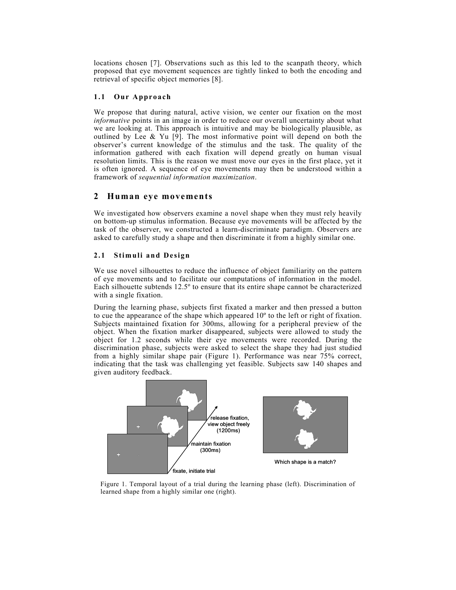locations chosen [7]. Observations such as this led to the scanpath theory, which proposed that eye movement sequences are tightly linked to both the encoding and retrieval of specific object memories [8].

#### **1.1 Our Approach**

We propose that during natural, active vision, we center our fixation on the most *informative* points in an image in order to reduce our overall uncertainty about what we are looking at. This approach is intuitive and may be biologically plausible, as outlined by Lee & Yu [9]. The most informative point will depend on both the observer's current knowledge of the stimulus and the task. The quality of the information gathered with each fixation will depend greatly on human visual resolution limits. This is the reason we must move our eyes in the first place, yet it is often ignored. A sequence of eye movements may then be understood within a framework of *sequential information maximization*.

# **2 Human eye movements**

We investigated how observers examine a novel shape when they must rely heavily on bottom-up stimulus information. Because eye movements will be affected by the task of the observer, we constructed a learn-discriminate paradigm. Observers are asked to carefully study a shape and then discriminate it from a highly similar one.

## **2.1 Stimuli and Design**

We use novel silhouettes to reduce the influence of object familiarity on the pattern of eye movements and to facilitate our computations of information in the model. Each silhouette subtends 12.5º to ensure that its entire shape cannot be characterized with a single fixation.

During the learning phase, subjects first fixated a marker and then pressed a button to cue the appearance of the shape which appeared 10º to the left or right of fixation. Subjects maintained fixation for 300ms, allowing for a peripheral preview of the object. When the fixation marker disappeared, subjects were allowed to study the object for 1.2 seconds while their eye movements were recorded. During the discrimination phase, subjects were asked to select the shape they had just studied from a highly similar shape pair (Figure 1). Performance was near 75% correct, indicating that the task was challenging yet feasible. Subjects saw 140 shapes and given auditory feedback.



Figure 1. Temporal layout of a trial during the learning phase (left). Discrimination of learned shape from a highly similar one (right).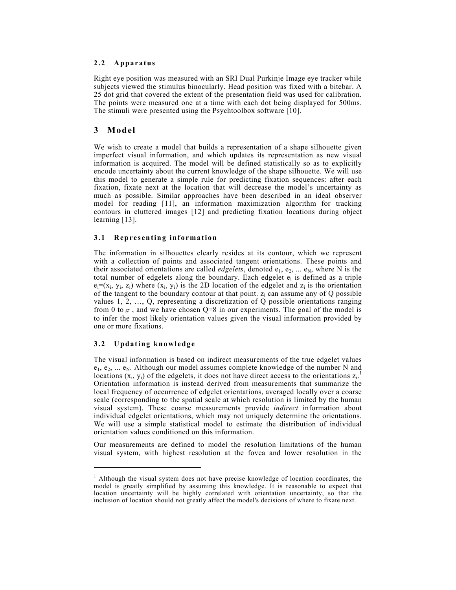#### **2.2 Apparatus**

Right eye position was measured with an SRI Dual Purkinje Image eye tracker while subjects viewed the stimulus binocularly. Head position was fixed with a bitebar. A 25 dot grid that covered the extent of the presentation field was used for calibration. The points were measured one at a time with each dot being displayed for 500ms. The stimuli were presented using the Psychtoolbox software [10].

# **3 Model**

We wish to create a model that builds a representation of a shape silhouette given imperfect visual information, and which updates its representation as new visual information is acquired. The model will be defined statistically so as to explicitly encode uncertainty about the current knowledge of the shape silhouette. We will use this model to generate a simple rule for predicting fixation sequences: after each fixation, fixate next at the location that will decrease the model's uncertainty as much as possible. Similar approaches have been described in an ideal observer model for reading [11], an information maximization algorithm for tracking contours in cluttered images [12] and predicting fixation locations during object learning [13].

## **3.1 Representing information**

The information in silhouettes clearly resides at its contour, which we represent with a collection of points and associated tangent orientations. These points and their associated orientations are called *edgelets*, denoted  $e_1, e_2, \ldots e_N$ , where N is the total number of edgelets along the boundary. Each edgelet  $e_i$  is defined as a triple  $e_i=(x_i, y_i, z_i)$  where  $(x_i, y_i)$  is the 2D location of the edgelet and  $z_i$  is the orientation of the tangent to the boundary contour at that point.  $z_i$  can assume any of Q possible values 1, 2, …, Q, representing a discretization of Q possible orientations ranging from 0 to  $\pi$ , and we have chosen Q=8 in our experiments. The goal of the model is to infer the most likely orientation values given the visual information provided by one or more fixations.

# **3.2 Updating knowledge**

 $\overline{\phantom{a}}$ 

The visual information is based on indirect measurements of the true edgelet values  $e_1, e_2, \ldots e_N$ . Although our model assumes complete knowledge of the number N and locations  $(x_i, y_i)$  of the edgelets, it does not have direct access to the orientations  $z_i$ . Orientation information is instead derived from measurements that summarize the local frequency of occurrence of edgelet orientations, averaged locally over a coarse scale (corresponding to the spatial scale at which resolution is limited by the human visual system). These coarse measurements provide *indirect* information about individual edgelet orientations, which may not uniquely determine the orientations. We will use a simple statistical model to estimate the distribution of individual orientation values conditioned on this information.

Our measurements are defined to model the resolution limitations of the human visual system, with highest resolution at the fovea and lower resolution in the

<sup>&</sup>lt;sup>1</sup> Although the visual system does not have precise knowledge of location coordinates, the model is greatly simplified by assuming this knowledge. It is reasonable to expect that location uncertainty will be highly correlated with orientation uncertainty, so that the inclusion of location should not greatly affect the model's decisions of where to fixate next.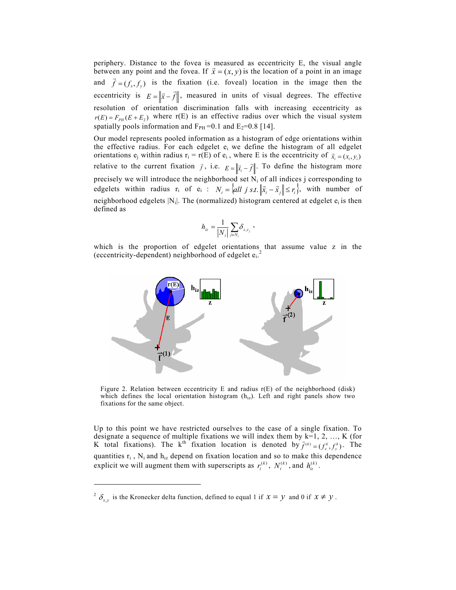periphery. Distance to the fovea is measured as eccentricity E, the visual angle between any point and the fovea. If  $\vec{x} = (x, y)$  is the location of a point in an image and  $\vec{f} = (f_x, f_y)$  is the fixation (i.e. foveal) location in the image then the eccentricity is  $E = \|\vec{x} - \vec{f}\|$ , measured in units of visual degrees. The effective resolution of orientation discrimination falls with increasing eccentricity as  $r(E) = F_{PH}(E + E_2)$  where r(E) is an effective radius over which the visual system spatially pools information and  $F_{PH}$ =0.1 and  $E_2$ =0.8 [14].

Our model represents pooled information as a histogram of edge orientations within the effective radius. For each edgelet  $e_i$  we define the histogram of all edgelet orientations  $e_j$  within radius  $r_i = r(E)$  of  $e_i$ , where E is the eccentricity of  $\vec{x}_i = (x_i, y_i)$ relative to the current fixation  $\vec{f}$ , i.e.  $E = \left| \vec{x}_i - \vec{f} \right|$ . To define the histogram more precisely we will introduce the neighborhood set  $N_i$  of all indices j corresponding to edgelets within radius  $r_i$  of  $e_i$  :  $N_i = \left\{ all \ j \ s.t. \ \left\| \vec{x}_i - \vec{x}_j \right\| \le r_i \right\}$ , with number of neighborhood edgelets  $|N_i|$ . The (normalized) histogram centered at edgelet  $e_i$  is then defined as

$$
h_{iz} = \frac{1}{|N_i|} \sum_{j \in N_i} \delta_{z,z_j} \; ,
$$

which is the proportion of edgelet orientations that assume value z in the (eccentricity-dependent) neighborhood of edgelet e<sub>i.</sub><sup>2</sup>



Figure 2. Relation between eccentricity E and radius  $r(E)$  of the neighborhood (disk) which defines the local orientation histogram  $(h_{iz})$ . Left and right panels show two fixations for the same object.

Up to this point we have restricted ourselves to the case of a single fixation. To designate a sequence of multiple fixations we will index them by  $k=1, 2, ..., K$  (for K total fixations). The k<sup>th</sup> fixation location is denoted by  $\vec{f}^{(k)} = (f^k_x, f^k_y)$ . The quantities  $r_i$ ,  $N_i$  and  $h_{iz}$  depend on fixation location and so to make this dependence explicit we will augment them with superscripts as  $r_i^{(k)}$ ,  $N_i^{(k)}$ , and  $h_{iz}^{(k)}$ .

-

<sup>&</sup>lt;sup>2</sup>  $\delta_{xy}$  is the Kronecker delta function, defined to equal 1 if  $x = y$  and 0 if  $x \neq y$ .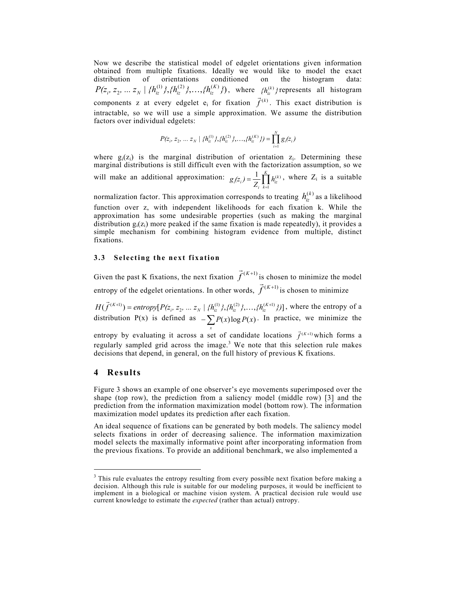Now we describe the statistical model of edgelet orientations given information obtained from multiple fixations. Ideally we would like to model the exact distribution of orientations conditioned on the histogram data: of orientations conditioned on the histogram data:  $P(z_i, z_2, ..., z_N | {\{h_{iz}^{(1)}\},\{h_{iz}^{(2)}\},..., \{h_{iz}^{(K)}\}}),$  where  ${h_{iz}^{(k)}}$  represents all histogram components z at every edgelet  $e_i$  for fixation  $\vec{f}^{(k)}$ . This exact distribution is intractable, so we will use a simple approximation. We assume the distribution factors over individual edgelets:

$$
P(z_i, z_2, \ldots z_N \mid \{h_{iz}^{(1)}\}, \{h_{iz}^{(2)}\}, \ldots, \{h_{iz}^{(K)}\}\} = \prod_{i=1}^N g_i(z_i)
$$

where  $g_i(z_i)$  is the marginal distribution of orientation  $z_i$ . Determining these marginal distributions is still difficult even with the factorization assumption, so we will make an additional approximation:  $g_i(z_i) = \frac{1}{Z_i} \prod_{k=1}^K$ *k*  $g_i(z_i) = \frac{1}{Z_i} \prod_{k=1}^K h_{iz}^{(k)}$ , where  $Z_i$  is a suitable

normalization factor. This approximation corresponds to treating  $h_{iz}^{(k)}$  as a likelihood function over z, with independent likelihoods for each fixation k. While the approximation has some undesirable properties (such as making the marginal distribution  $g_i(z_i)$  more peaked if the same fixation is made repeatedly), it provides a simple mechanism for combining histogram evidence from multiple, distinct fixations.

#### **3.3 Selecting the next fixation**

Given the past K fixations, the next fixation  $\vec{f}^{(K+1)}$  is chosen to minimize the model entropy of the edgelet orientations. In other words,  $\vec{f}^{(K+1)}$  is chosen to minimize

 $H(\vec{f}^{(K+1)}) =$  *entropy*  $[P(z_i, z_2, ..., z_N | {h_{iz}^{(1)}}, {h_{iz}^{(2)}}], ..., {h_{iz}^{(K+1)}})]$ , where the entropy of a distribution P(x) is defined as  $-\sum_{x} P(x) \log P(x)$ . In practice, we minimize the entropy by evaluating it across a set of candidate locations  $\vec{f}^{(K+1)}$  which forms a

regularly sampled grid across the image.<sup>3</sup> We note that this selection rule makes decisions that depend, in general, on the full history of previous K fixations.

### **4 Results**

 $\overline{\phantom{a}}$ 

Figure 3 shows an example of one observer's eye movements superimposed over the shape (top row), the prediction from a saliency model (middle row) [3] and the prediction from the information maximization model (bottom row). The information maximization model updates its prediction after each fixation.

An ideal sequence of fixations can be generated by both models. The saliency model selects fixations in order of decreasing salience. The information maximization model selects the maximally informative point after incorporating information from the previous fixations. To provide an additional benchmark, we also implemented a

<sup>&</sup>lt;sup>3</sup> This rule evaluates the entropy resulting from every possible next fixation before making a decision. Although this rule is suitable for our modeling purposes, it would be inefficient to implement in a biological or machine vision system. A practical decision rule would use current knowledge to estimate the *expected* (rather than actual) entropy.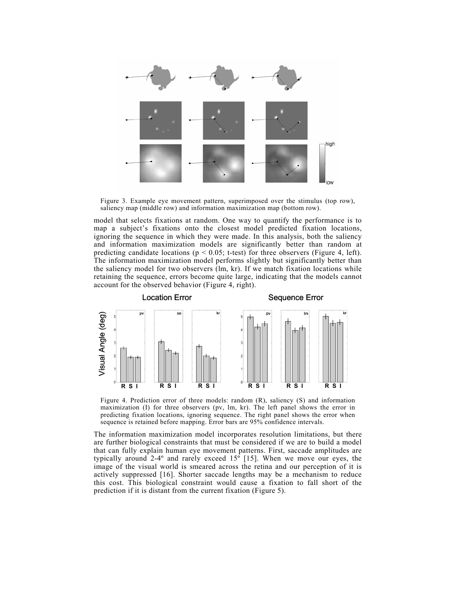

Figure 3. Example eye movement pattern, superimposed over the stimulus (top row), saliency map (middle row) and information maximization map (bottom row).

model that selects fixations at random. One way to quantify the performance is to map a subject's fixations onto the closest model predicted fixation locations, ignoring the sequence in which they were made. In this analysis, both the saliency and information maximization models are significantly better than random at predicting candidate locations ( $p < 0.05$ ; t-test) for three observers (Figure 4, left). The information maximization model performs slightly but significantly better than the saliency model for two observers (lm, kr). If we match fixation locations while retaining the sequence, errors become quite large, indicating that the models cannot account for the observed behavior (Figure 4, right).



Figure 4. Prediction error of three models: random (R), saliency (S) and information maximization (I) for three observers (pv, lm, kr). The left panel shows the error in predicting fixation locations, ignoring sequence. The right panel shows the error when sequence is retained before mapping. Error bars are 95% confidence intervals.

The information maximization model incorporates resolution limitations, but there are further biological constraints that must be considered if we are to build a model that can fully explain human eye movement patterns. First, saccade amplitudes are typically around 2-4 $^{\circ}$  and rarely exceed 15 $^{\circ}$  [15]. When we move our eyes, the image of the visual world is smeared across the retina and our perception of it is actively suppressed [16]. Shorter saccade lengths may be a mechanism to reduce this cost. This biological constraint would cause a fixation to fall short of the prediction if it is distant from the current fixation (Figure 5).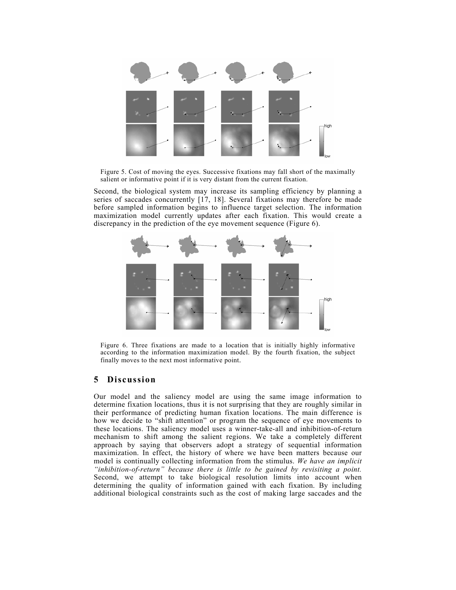

Figure 5. Cost of moving the eyes. Successive fixations may fall short of the maximally salient or informative point if it is very distant from the current fixation.

Second, the biological system may increase its sampling efficiency by planning a series of saccades concurrently [17, 18]. Several fixations may therefore be made before sampled information begins to influence target selection. The information maximization model currently updates after each fixation. This would create a discrepancy in the prediction of the eye movement sequence (Figure 6).



Figure 6. Three fixations are made to a location that is initially highly informative according to the information maximization model. By the fourth fixation, the subject finally moves to the next most informative point.

# **5 Discussion**

Our model and the saliency model are using the same image information to determine fixation locations, thus it is not surprising that they are roughly similar in their performance of predicting human fixation locations. The main difference is how we decide to "shift attention" or program the sequence of eye movements to these locations. The saliency model uses a winner-take-all and inhibition-of-return mechanism to shift among the salient regions. We take a completely different approach by saying that observers adopt a strategy of sequential information maximization. In effect, the history of where we have been matters because our model is continually collecting information from the stimulus. *We have an implicit "inhibition-of-return" because there is little to be gained by revisiting a point.*  Second, we attempt to take biological resolution limits into account when determining the quality of information gained with each fixation. By including additional biological constraints such as the cost of making large saccades and the